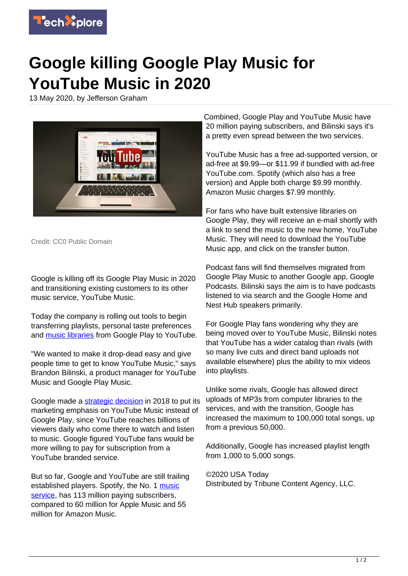

## **Google killing Google Play Music for YouTube Music in 2020**

13 May 2020, by Jefferson Graham



Credit: CC0 Public Domain

Google is killing off its Google Play Music in 2020 and transitioning existing customers to its other music service, YouTube Music.

Today the company is rolling out tools to begin transferring playlists, personal taste preferences and [music libraries](https://techxplore.com/tags/music+libraries/) from Google Play to YouTube.

"We wanted to make it drop-dead easy and give people time to get to know YouTube Music," says Brandon Bilinski, a product manager for YouTube Music and Google Play Music.

Google made a [strategic decision](https://techxplore.com/tags/strategic+decision/) in 2018 to put its marketing emphasis on YouTube Music instead of Google Play, since YouTube reaches billions of viewers daily who come there to watch and listen to music. Google figured YouTube fans would be more willing to pay for subscription from a YouTube branded service.

But so far, Google and YouTube are still trailing established players. Spotify, the No. 1 [music](https://techxplore.com/tags/music+service/) [service](https://techxplore.com/tags/music+service/), has 113 million paying subscribers, compared to 60 million for Apple Music and 55 million for Amazon Music.

Combined, Google Play and YouTube Music have 20 million paying subscribers, and Bilinski says it's a pretty even spread between the two services.

YouTube Music has a free ad-supported version, or ad-free at \$9.99—or \$11.99 if bundled with ad-free YouTube.com. Spotify (which also has a free version) and Apple both charge \$9.99 monthly. Amazon Music charges \$7.99 monthly.

For fans who have built extensive libraries on Google Play, they will receive an e-mail shortly with a link to send the music to the new home, YouTube Music. They will need to download the YouTube Music app, and click on the transfer button.

Podcast fans will find themselves migrated from Google Play Music to another Google app, Google Podcasts. Bilinski says the aim is to have podcasts listened to via search and the Google Home and Nest Hub speakers primarily.

For Google Play fans wondering why they are being moved over to YouTube Music, Bilinski notes that YouTube has a wider catalog than rivals (with so many live cuts and direct band uploads not available elsewhere) plus the ability to mix videos into playlists.

Unlike some rivals, Google has allowed direct uploads of MP3s from computer libraries to the services, and with the transition, Google has increased the maximum to 100,000 total songs, up from a previous 50,000.

Additionally, Google has increased playlist length from 1,000 to 5,000 songs.

©2020 USA Today Distributed by Tribune Content Agency, LLC.